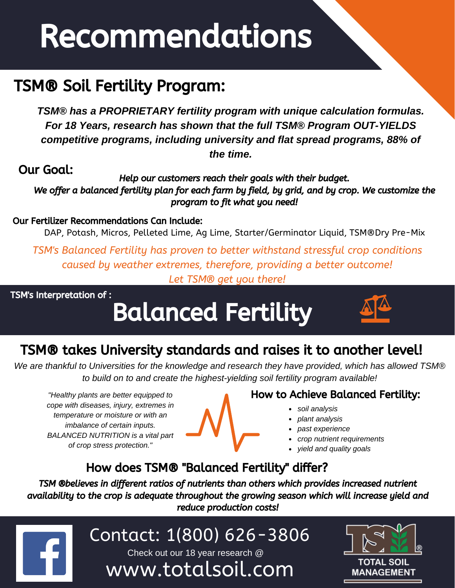# Recommendations

## TSM® Soil Fertility Program:

*TSM® has a PROPRIETARY fertility program with unique calculation formulas. For 18 Years, research has shown that the full TSM® Program OUT-YIELDS competitive programs, including university and flat spread programs, 88% of the time.*

Our Goal:

Help our customers reach their goals with their budget. We offer a balanced fertility plan for each farm by field, by grid, and by crop. We customize the program to fit what you need!

#### Our Fertilizer Recommendations Can Include:

DAP, Potash, Micros, Pelleted Lime, Ag Lime, Starter/Germinator Liquid, TSM®Dry Pre-Mix

*TSM's Balanced Fertility has proven to better withstand stressful crop conditions caused by weather extremes, therefore, providing a better outcome! Let TSM® get you there!*

TSM's Interpretation of :

hello@

## Balanced Fertility



## TSM® takes University standards and raises it to another level!

*We are thankful to Universities for the knowledge and research they have provided, which has allowed TSM® to build on to and create the highest-yielding soil fertility program available!*

*"Healthy plants are better equipped to cope with diseases, injury, extremes in temperature or moisture or with an imbalance of certain inputs. BALANCED NUTRITION is a vital part of crop stress protection."*



#### How to Achieve Balanced Fertility:

- *soil analysis*
- *plant analysis*
- *past experience*
- *crop nutrient requirements*
- *yield and quality goals*

## How does TSM® "Balanced Fertility" differ?

TSM ®believes in different ratios of nutrients than others which provides increased nutrient availability to the crop is adequate throughout the growing season which will increase yield and reduce production costs!

 $\Box$  Contact: 1/800) **estimate** Contact: 1(800) 626-3806 Check out our 18 year research @

www.totalsoil.com